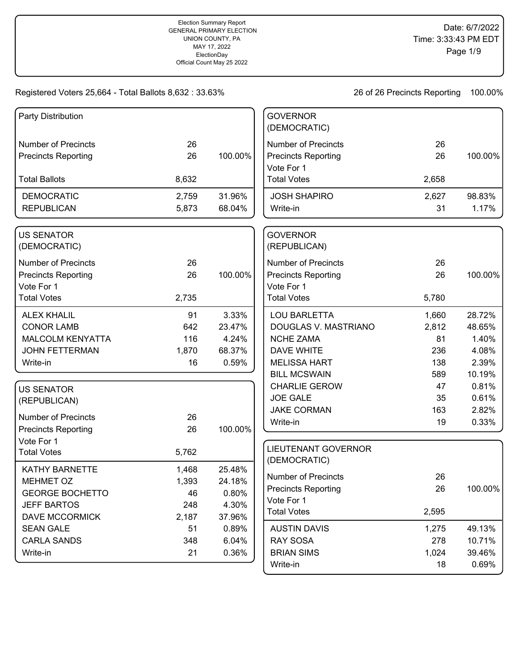| Party Distribution               |       |         | <b>GOVERNOR</b><br>(DEMOCRATIC) |       |         |
|----------------------------------|-------|---------|---------------------------------|-------|---------|
|                                  |       |         |                                 |       |         |
| <b>Number of Precincts</b>       | 26    |         | <b>Number of Precincts</b>      | 26    |         |
| <b>Precincts Reporting</b>       | 26    | 100.00% | <b>Precincts Reporting</b>      | 26    | 100.00% |
|                                  |       |         | Vote For 1                      |       |         |
| <b>Total Ballots</b>             | 8,632 |         | <b>Total Votes</b>              | 2,658 |         |
| <b>DEMOCRATIC</b>                | 2,759 | 31.96%  | <b>JOSH SHAPIRO</b>             | 2,627 | 98.83%  |
| <b>REPUBLICAN</b>                | 5,873 | 68.04%  | Write-in                        | 31    | 1.17%   |
| <b>US SENATOR</b>                |       |         | <b>GOVERNOR</b>                 |       |         |
| (DEMOCRATIC)                     |       |         | (REPUBLICAN)                    |       |         |
| <b>Number of Precincts</b>       | 26    |         | <b>Number of Precincts</b>      | 26    |         |
| <b>Precincts Reporting</b>       | 26    | 100.00% | <b>Precincts Reporting</b>      | 26    | 100.00% |
| Vote For 1                       |       |         | Vote For 1                      |       |         |
| <b>Total Votes</b>               | 2,735 |         | <b>Total Votes</b>              | 5,780 |         |
| <b>ALEX KHALIL</b>               | 91    | 3.33%   | <b>LOU BARLETTA</b>             | 1,660 | 28.72%  |
| <b>CONOR LAMB</b>                | 642   | 23.47%  | DOUGLAS V. MASTRIANO            | 2,812 | 48.65%  |
| <b>MALCOLM KENYATTA</b>          | 116   | 4.24%   | <b>NCHE ZAMA</b>                | 81    | 1.40%   |
| <b>JOHN FETTERMAN</b>            | 1,870 | 68.37%  | <b>DAVE WHITE</b>               | 236   | 4.08%   |
| Write-in                         | 16    | 0.59%   | <b>MELISSA HART</b>             | 138   | 2.39%   |
|                                  |       |         | <b>BILL MCSWAIN</b>             | 589   | 10.19%  |
| <b>US SENATOR</b>                |       |         | <b>CHARLIE GEROW</b>            | 47    | 0.81%   |
| (REPUBLICAN)                     |       |         | <b>JOE GALE</b>                 | 35    | 0.61%   |
|                                  |       |         | <b>JAKE CORMAN</b>              | 163   | 2.82%   |
| <b>Number of Precincts</b>       | 26    |         | Write-in                        | 19    | 0.33%   |
| <b>Precincts Reporting</b>       | 26    | 100.00% |                                 |       |         |
| Vote For 1<br><b>Total Votes</b> | 5,762 |         | <b>LIEUTENANT GOVERNOR</b>      |       |         |
|                                  |       |         | (DEMOCRATIC)                    |       |         |
| <b>KATHY BARNETTE</b>            | 1,468 | 25.48%  | <b>Number of Precincts</b>      | 26    |         |
| MEHMET OZ                        | 1,393 | 24.18%  | <b>Precincts Reporting</b>      | 26    | 100.00% |
| <b>GEORGE BOCHETTO</b>           | 46    | 0.80%   | Vote For 1                      |       |         |
| <b>JEFF BARTOS</b>               | 248   | 4.30%   | <b>Total Votes</b>              | 2,595 |         |
| <b>DAVE MCCORMICK</b>            | 2,187 | 37.96%  |                                 |       |         |
| <b>SEAN GALE</b>                 | 51    | 0.89%   | <b>AUSTIN DAVIS</b>             | 1,275 | 49.13%  |
| <b>CARLA SANDS</b>               | 348   | 6.04%   | <b>RAY SOSA</b>                 | 278   | 10.71%  |
| Write-in                         | 21    | 0.36%   | <b>BRIAN SIMS</b>               | 1,024 | 39.46%  |
|                                  |       |         | Write-in                        | 18    | 0.69%   |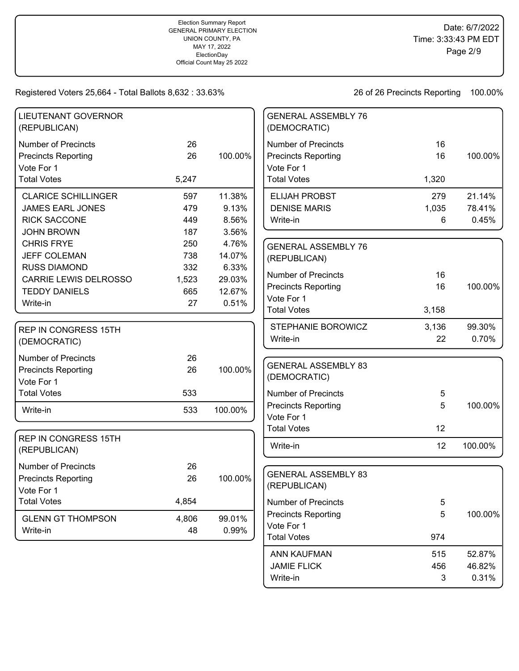## Time: 3:33:43 PM EDT Page 2/9

Date: 6/7/2022

Registered Voters 25,664 - Total Ballots 8,632 : 33.63%

26 of 26 Precincts Reporting 100.00%

Write-in 3 0.31%

| <b>LIEUTENANT GOVERNOR</b><br>(REPUBLICAN)               |          |         | <b>GENERAL ASSEMBLY 76</b><br>(DEMOCRATIC)               |          |         |
|----------------------------------------------------------|----------|---------|----------------------------------------------------------|----------|---------|
| <b>Number of Precincts</b><br><b>Precincts Reporting</b> | 26<br>26 | 100.00% | <b>Number of Precincts</b><br><b>Precincts Reporting</b> | 16<br>16 | 100.00% |
| Vote For 1<br><b>Total Votes</b>                         | 5,247    |         | Vote For 1<br><b>Total Votes</b>                         | 1,320    |         |
| <b>CLARICE SCHILLINGER</b>                               | 597      | 11.38%  | <b>ELIJAH PROBST</b>                                     | 279      | 21.14%  |
| <b>JAMES EARL JONES</b>                                  | 479      | 9.13%   | <b>DENISE MARIS</b>                                      | 1,035    | 78.41%  |
| <b>RICK SACCONE</b>                                      | 449      | 8.56%   | Write-in                                                 | 6        | 0.45%   |
| <b>JOHN BROWN</b>                                        | 187      | 3.56%   |                                                          |          |         |
| <b>CHRIS FRYE</b>                                        | 250      | 4.76%   | <b>GENERAL ASSEMBLY 76</b>                               |          |         |
| <b>JEFF COLEMAN</b>                                      | 738      | 14.07%  | (REPUBLICAN)                                             |          |         |
| <b>RUSS DIAMOND</b>                                      | 332      | 6.33%   | <b>Number of Precincts</b>                               | 16       |         |
| CARRIE LEWIS DELROSSO                                    | 1,523    | 29.03%  |                                                          | 16       | 100.00% |
| <b>TEDDY DANIELS</b>                                     | 665      | 12.67%  | <b>Precincts Reporting</b><br>Vote For 1                 |          |         |
| Write-in                                                 | 27       | 0.51%   | <b>Total Votes</b>                                       | 3,158    |         |
|                                                          |          |         |                                                          |          |         |
| <b>REP IN CONGRESS 15TH</b>                              |          |         | STEPHANIE BOROWICZ                                       | 3,136    | 99.30%  |
| (DEMOCRATIC)                                             |          |         | Write-in                                                 | 22       | 0.70%   |
| <b>Number of Precincts</b>                               | 26       |         |                                                          |          |         |
| <b>Precincts Reporting</b>                               | 26       | 100.00% | <b>GENERAL ASSEMBLY 83</b>                               |          |         |
| Vote For 1                                               |          |         | (DEMOCRATIC)                                             |          |         |
| <b>Total Votes</b>                                       | 533      |         | <b>Number of Precincts</b>                               | 5        |         |
|                                                          |          |         | <b>Precincts Reporting</b>                               | 5        | 100.00% |
| Write-in                                                 | 533      | 100.00% | Vote For 1                                               |          |         |
|                                                          |          |         | <b>Total Votes</b>                                       | 12       |         |
| <b>REP IN CONGRESS 15TH</b>                              |          |         |                                                          |          |         |
| (REPUBLICAN)                                             |          |         | Write-in                                                 | 12       | 100.00% |
| <b>Number of Precincts</b>                               | 26       |         |                                                          |          |         |
| <b>Precincts Reporting</b>                               | 26       | 100.00% | <b>GENERAL ASSEMBLY 83</b>                               |          |         |
| Vote For 1                                               |          |         | (REPUBLICAN)                                             |          |         |
| <b>Total Votes</b>                                       | 4,854    |         | <b>Number of Precincts</b>                               | 5        |         |
|                                                          |          |         | <b>Precincts Reporting</b>                               | 5        | 100.00% |
| <b>GLENN GT THOMPSON</b>                                 | 4,806    | 99.01%  | Vote For 1                                               |          |         |
| Write-in                                                 | 48       | 0.99%   | <b>Total Votes</b>                                       | 974      |         |
|                                                          |          |         | ANN KAUFMAN                                              | 515      | 52.87%  |
|                                                          |          |         | <b>JAMIE FLICK</b>                                       | 456      | 46.82%  |
|                                                          |          |         |                                                          |          |         |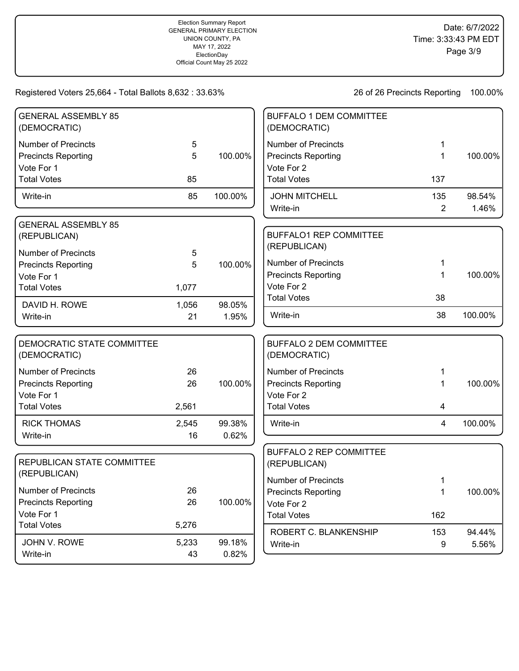| <b>GENERAL ASSEMBLY 85</b><br>(DEMOCRATIC)                               |             |                 | <b>BUFFALO 1 DEM COMMITTEE</b><br>(DEMOCRATIC)                         |                       |                 |
|--------------------------------------------------------------------------|-------------|-----------------|------------------------------------------------------------------------|-----------------------|-----------------|
| <b>Number of Precincts</b><br><b>Precincts Reporting</b><br>Vote For 1   | 5<br>5      | 100.00%         | <b>Number of Precincts</b><br><b>Precincts Reporting</b><br>Vote For 2 | 1<br>1                | 100.00%         |
| <b>Total Votes</b>                                                       | 85          |                 | <b>Total Votes</b>                                                     | 137                   |                 |
| Write-in                                                                 | 85          | 100.00%         | <b>JOHN MITCHELL</b><br>Write-in                                       | 135<br>$\overline{2}$ | 98.54%<br>1.46% |
| <b>GENERAL ASSEMBLY 85</b><br>(REPUBLICAN)<br><b>Number of Precincts</b> |             |                 | <b>BUFFALO1 REP COMMITTEE</b><br>(REPUBLICAN)                          |                       |                 |
| <b>Precincts Reporting</b>                                               | 5<br>5      | 100.00%         | <b>Number of Precincts</b><br><b>Precincts Reporting</b>               | 1<br>1                | 100.00%         |
| Vote For 1<br><b>Total Votes</b>                                         | 1,077       |                 | Vote For 2                                                             | 38                    |                 |
| DAVID H. ROWE<br>Write-in                                                | 1,056<br>21 | 98.05%<br>1.95% | <b>Total Votes</b><br>Write-in                                         | 38                    | 100.00%         |
| DEMOCRATIC STATE COMMITTEE<br>(DEMOCRATIC)                               |             |                 | <b>BUFFALO 2 DEM COMMITTEE</b><br>(DEMOCRATIC)                         |                       |                 |
| <b>Number of Precincts</b>                                               | 26          |                 | <b>Number of Precincts</b>                                             | 1                     |                 |
| <b>Precincts Reporting</b><br>Vote For 1                                 | 26          | 100.00%         | <b>Precincts Reporting</b><br>Vote For 2                               | 1                     | 100.00%         |
| <b>Total Votes</b>                                                       | 2,561       |                 | <b>Total Votes</b>                                                     | $\overline{4}$        |                 |
| <b>RICK THOMAS</b><br>Write-in                                           | 2,545<br>16 | 99.38%<br>0.62% | Write-in                                                               | 4                     | 100.00%         |
| REPUBLICAN STATE COMMITTEE<br>(REPUBLICAN)                               |             |                 | <b>BUFFALO 2 REP COMMITTEE</b><br>(REPUBLICAN)                         |                       |                 |
| <b>Number of Precincts</b><br><b>Precincts Reporting</b>                 | 26<br>26    | 100.00%         | <b>Number of Precincts</b><br><b>Precincts Reporting</b><br>Vote For 2 | 1<br>$\mathbf 1$      | 100.00%         |
| Vote For 1<br><b>Total Votes</b>                                         | 5,276       |                 | <b>Total Votes</b>                                                     | 162                   |                 |
| JOHN V. ROWE<br>Write-in                                                 | 5,233<br>43 | 99.18%<br>0.82% | ROBERT C. BLANKENSHIP<br>Write-in                                      | 153<br>9              | 94.44%<br>5.56% |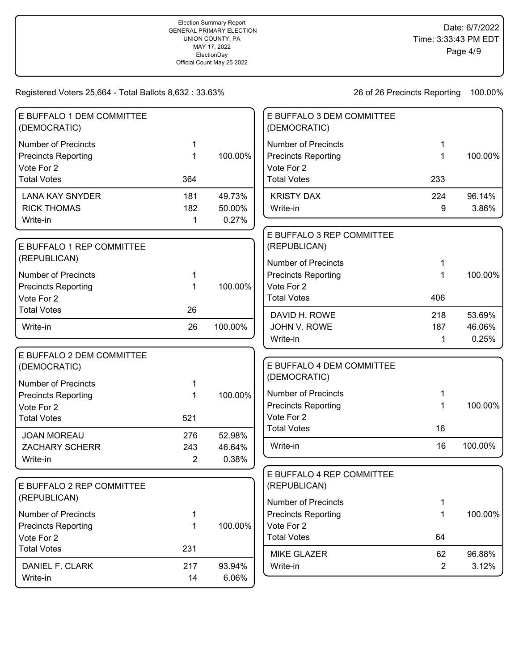| E BUFFALO 1 DEM COMMITTEE<br>(DEMOCRATIC) |                |         | E BUFFALO 3 DEM COMMITTEE<br>(DEMOCRATIC)                |                      |                 |
|-------------------------------------------|----------------|---------|----------------------------------------------------------|----------------------|-----------------|
| <b>Number of Precincts</b>                | 1              |         | <b>Number of Precincts</b>                               | 1                    |                 |
| <b>Precincts Reporting</b><br>Vote For 2  | 1              | 100.00% | <b>Precincts Reporting</b><br>Vote For 2                 | 1                    | 100.00%         |
| <b>Total Votes</b>                        | 364            |         | <b>Total Votes</b>                                       | 233                  |                 |
| <b>LANA KAY SNYDER</b>                    | 181            | 49.73%  | <b>KRISTY DAX</b>                                        | 224                  | 96.14%          |
| <b>RICK THOMAS</b>                        | 182            | 50.00%  | Write-in                                                 | 9                    | 3.86%           |
| Write-in                                  | 1              | 0.27%   |                                                          |                      |                 |
| E BUFFALO 1 REP COMMITTEE                 |                |         | E BUFFALO 3 REP COMMITTEE<br>(REPUBLICAN)                |                      |                 |
| (REPUBLICAN)                              |                |         | <b>Number of Precincts</b>                               |                      |                 |
| <b>Number of Precincts</b>                | 1              |         | <b>Precincts Reporting</b>                               | 1                    | 100.00%         |
| <b>Precincts Reporting</b>                | 1              | 100.00% | Vote For 2                                               |                      |                 |
| Vote For 2                                |                |         | <b>Total Votes</b>                                       | 406                  |                 |
| <b>Total Votes</b>                        | 26             |         | DAVID H. ROWE                                            | 218                  | 53.69%          |
| Write-in                                  | 26             | 100.00% | JOHN V. ROWE                                             | 187                  | 46.06%          |
|                                           |                |         | Write-in                                                 | 1                    | 0.25%           |
| E BUFFALO 2 DEM COMMITTEE<br>(DEMOCRATIC) |                |         | E BUFFALO 4 DEM COMMITTEE                                |                      |                 |
| <b>Number of Precincts</b>                |                |         | (DEMOCRATIC)                                             |                      |                 |
| <b>Precincts Reporting</b>                | 1              | 100.00% | <b>Number of Precincts</b>                               |                      |                 |
| Vote For 2                                |                |         | <b>Precincts Reporting</b>                               | 1                    | 100.00%         |
| <b>Total Votes</b>                        | 521            |         | Vote For 2                                               |                      |                 |
| <b>JOAN MOREAU</b>                        | 276            | 52.98%  | <b>Total Votes</b>                                       | 16                   |                 |
| <b>ZACHARY SCHERR</b>                     | 243            | 46.64%  | Write-in                                                 | 16                   | 100.00%         |
| Write-in                                  | $\overline{2}$ | 0.38%   |                                                          |                      |                 |
|                                           |                |         | E BUFFALO 4 REP COMMITTEE                                |                      |                 |
| E BUFFALO 2 REP COMMITTEE<br>(REPUBLICAN) |                |         | (REPUBLICAN)                                             |                      |                 |
| <b>Number of Precincts</b>                |                |         | <b>Number of Precincts</b><br><b>Precincts Reporting</b> | 1<br>1               | 100.00%         |
| <b>Precincts Reporting</b>                | 1<br>1         | 100.00% | Vote For 2                                               |                      |                 |
| Vote For 2                                |                |         | <b>Total Votes</b>                                       | 64                   |                 |
| <b>Total Votes</b>                        | 231            |         |                                                          |                      |                 |
| DANIEL F. CLARK                           | 217            | 93.94%  | <b>MIKE GLAZER</b><br>Write-in                           | 62<br>$\overline{2}$ | 96.88%<br>3.12% |
| Write-in                                  | 14             | 6.06%   |                                                          |                      |                 |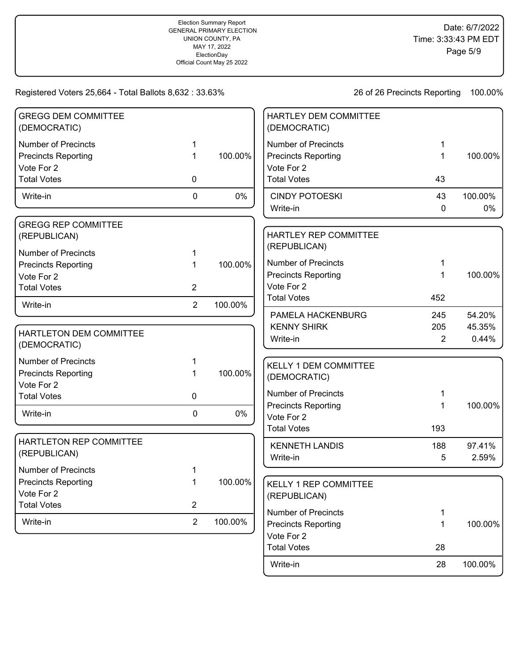26 of 26 Precincts Reporting 100.00%

Write-in 28 100.00%

| <b>GREGG DEM COMMITTEE</b><br>(DEMOCRATIC) |                |         | HARTLEY DEM COMMITTEE<br>(DEMOCRATIC)    |          |         |
|--------------------------------------------|----------------|---------|------------------------------------------|----------|---------|
| <b>Number of Precincts</b>                 | 1              |         | <b>Number of Precincts</b>               | 1        |         |
| <b>Precincts Reporting</b>                 | 1              | 100.00% | <b>Precincts Reporting</b>               | 1        | 100.00% |
| Vote For 2                                 |                |         | Vote For 2                               |          |         |
| <b>Total Votes</b>                         | 0              |         | <b>Total Votes</b>                       | 43       |         |
| Write-in                                   | $\mathbf 0$    | 0%      | <b>CINDY POTOESKI</b>                    | 43       | 100.00% |
|                                            |                |         | Write-in                                 | 0        | 0%      |
| <b>GREGG REP COMMITTEE</b>                 |                |         |                                          |          |         |
| (REPUBLICAN)                               |                |         | HARTLEY REP COMMITTEE                    |          |         |
| <b>Number of Precincts</b>                 | 1              |         | (REPUBLICAN)                             |          |         |
| <b>Precincts Reporting</b>                 | 1              | 100.00% | <b>Number of Precincts</b>               | 1        |         |
| Vote For 2                                 |                |         | <b>Precincts Reporting</b>               | 1        | 100.00% |
| <b>Total Votes</b>                         | $\overline{2}$ |         | Vote For 2                               |          |         |
| Write-in                                   | $\overline{2}$ | 100.00% | <b>Total Votes</b>                       | 452      |         |
|                                            |                |         | PAMELA HACKENBURG                        | 245      | 54.20%  |
| HARTLETON DEM COMMITTEE                    |                |         | <b>KENNY SHIRK</b>                       | 205      | 45.35%  |
| (DEMOCRATIC)                               |                |         | Write-in                                 | 2        | 0.44%   |
| <b>Number of Precincts</b>                 | 1              |         | <b>KELLY 1 DEM COMMITTEE</b>             |          |         |
| <b>Precincts Reporting</b>                 | 1              | 100.00% | (DEMOCRATIC)                             |          |         |
| Vote For 2                                 |                |         |                                          |          |         |
| <b>Total Votes</b>                         | 0              |         | <b>Number of Precincts</b>               |          |         |
| Write-in                                   | 0              | 0%      | <b>Precincts Reporting</b><br>Vote For 2 | 1        | 100.00% |
|                                            |                |         | <b>Total Votes</b>                       | 193      |         |
| HARTLETON REP COMMITTEE                    |                |         |                                          |          | 97.41%  |
| (REPUBLICAN)                               |                |         | <b>KENNETH LANDIS</b><br>Write-in        | 188<br>5 | 2.59%   |
| <b>Number of Precincts</b>                 |                |         |                                          |          |         |
| <b>Precincts Reporting</b>                 |                | 100.00% | KELLY 1 REP COMMITTEE                    |          |         |
| Vote For 2                                 |                |         | (REPUBLICAN)                             |          |         |
| <b>Total Votes</b>                         | $\overline{2}$ |         |                                          |          |         |
| Write-in                                   | $\overline{2}$ | 100.00% | <b>Number of Precincts</b>               | 1        |         |
|                                            |                |         | <b>Precincts Reporting</b>               | 1        | 100.00% |
|                                            |                |         | Vote For 2<br><b>Total Votes</b>         | 28       |         |
|                                            |                |         |                                          |          |         |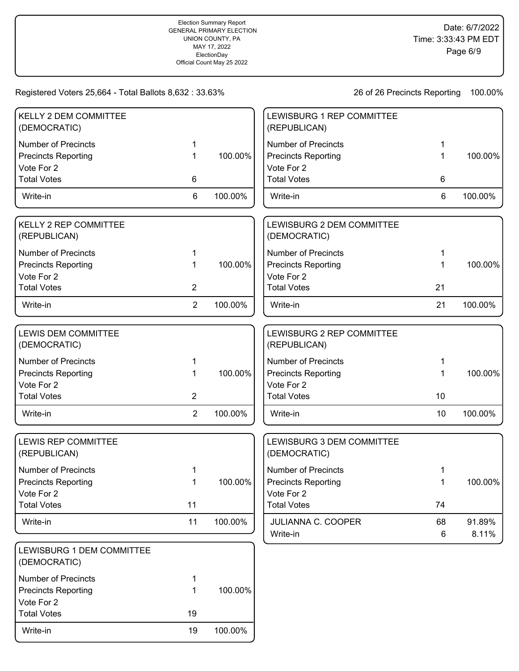Write-in 19 100.00%

| KELLY 2 DEM COMMITTEE<br>(DEMOCRATIC)                                  |                |         | LEWISBURG 1 REP COMMITTEE<br>(REPUBLICAN)                              |             |                 |
|------------------------------------------------------------------------|----------------|---------|------------------------------------------------------------------------|-------------|-----------------|
| <b>Number of Precincts</b><br><b>Precincts Reporting</b>               | 1<br>1         | 100.00% | <b>Number of Precincts</b><br><b>Precincts Reporting</b>               | 1           | 100.00%         |
| Vote For 2<br><b>Total Votes</b>                                       | 6              |         | Vote For 2<br><b>Total Votes</b>                                       | 6           |                 |
| Write-in                                                               | 6              | 100.00% | Write-in                                                               | 6           | 100.00%         |
| <b>KELLY 2 REP COMMITTEE</b><br>(REPUBLICAN)                           |                |         | LEWISBURG 2 DEM COMMITTEE<br>(DEMOCRATIC)                              |             |                 |
| <b>Number of Precincts</b><br><b>Precincts Reporting</b><br>Vote For 2 | 1<br>1         | 100.00% | <b>Number of Precincts</b><br><b>Precincts Reporting</b><br>Vote For 2 | 1<br>1      | 100.00%         |
| <b>Total Votes</b>                                                     | $\overline{2}$ |         | <b>Total Votes</b>                                                     | 21          |                 |
| Write-in                                                               | $\overline{2}$ | 100.00% | Write-in                                                               | 21          | 100.00%         |
| <b>LEWIS DEM COMMITTEE</b><br>(DEMOCRATIC)                             |                |         | LEWISBURG 2 REP COMMITTEE<br>(REPUBLICAN)                              |             |                 |
| <b>Number of Precincts</b>                                             | 1              |         | <b>Number of Precincts</b>                                             |             |                 |
| <b>Precincts Reporting</b><br>Vote For 2                               | 1              | 100.00% | <b>Precincts Reporting</b><br>Vote For 2                               |             | 100.00%         |
| <b>Total Votes</b>                                                     | $\overline{2}$ |         | <b>Total Votes</b>                                                     | 10          |                 |
| Write-in                                                               | $\overline{2}$ | 100.00% | Write-in                                                               | 10          | 100.00%         |
| <b>LEWIS REP COMMITTEE</b><br>(REPUBLICAN)                             |                |         | LEWISBURG 3 DEM COMMITTEE<br>(DEMOCRATIC)                              |             |                 |
| <b>Number of Precincts</b>                                             |                |         | <b>Number of Precincts</b>                                             |             |                 |
| <b>Precincts Reporting</b>                                             | 1              | 100.00% | <b>Precincts Reporting</b>                                             | 1           | 100.00%         |
| Vote For 2<br><b>Total Votes</b>                                       | 11             |         | Vote For 2<br><b>Total Votes</b>                                       | 74          |                 |
| Write-in                                                               | 11             | 100.00% | <b>JULIANNA C. COOPER</b><br>Write-in                                  | 68<br>$\,6$ | 91.89%<br>8.11% |
| LEWISBURG 1 DEM COMMITTEE<br>(DEMOCRATIC)                              |                |         |                                                                        |             |                 |
| <b>Number of Precincts</b><br><b>Precincts Reporting</b>               | 1<br>1         | 100.00% |                                                                        |             |                 |
| Vote For 2<br><b>Total Votes</b>                                       | 19             |         |                                                                        |             |                 |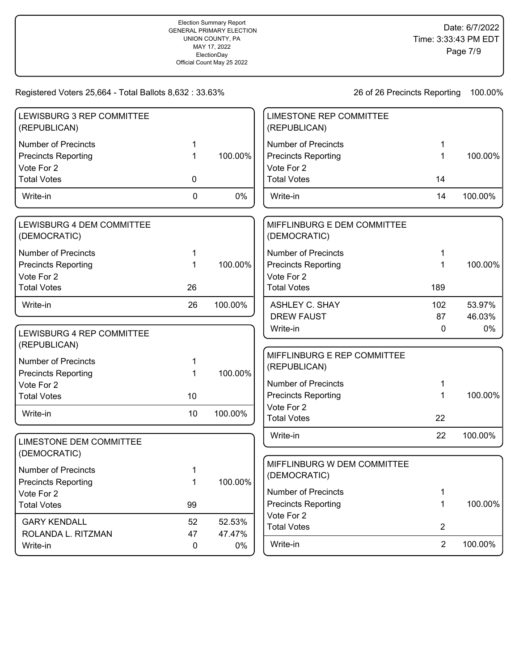| LEWISBURG 3 REP COMMITTEE<br>(REPUBLICAN)                              |             |         | <b>LIMESTONE REP COMMITTEE</b><br>(REPUBLICAN)                         |                |         |
|------------------------------------------------------------------------|-------------|---------|------------------------------------------------------------------------|----------------|---------|
| <b>Number of Precincts</b><br><b>Precincts Reporting</b><br>Vote For 2 | 1<br>1      | 100.00% | <b>Number of Precincts</b><br><b>Precincts Reporting</b><br>Vote For 2 | 1<br>1         | 100.00% |
| <b>Total Votes</b>                                                     | 0           |         | <b>Total Votes</b>                                                     | 14             |         |
| Write-in                                                               | $\mathbf 0$ | 0%      | Write-in                                                               | 14             | 100.00% |
| LEWISBURG 4 DEM COMMITTEE<br>(DEMOCRATIC)                              |             |         | MIFFLINBURG E DEM COMMITTEE<br>(DEMOCRATIC)                            |                |         |
| <b>Number of Precincts</b>                                             | 1           |         | <b>Number of Precincts</b>                                             | 1              |         |
| <b>Precincts Reporting</b><br>Vote For 2                               |             | 100.00% | <b>Precincts Reporting</b><br>Vote For 2                               | 1              | 100.00% |
| <b>Total Votes</b>                                                     | 26          |         | <b>Total Votes</b>                                                     | 189            |         |
| Write-in                                                               | 26          | 100.00% | <b>ASHLEY C. SHAY</b>                                                  | 102            | 53.97%  |
|                                                                        |             |         | <b>DREW FAUST</b>                                                      | 87             | 46.03%  |
| LEWISBURG 4 REP COMMITTEE<br>(REPUBLICAN)                              |             |         | Write-in                                                               | 0              | 0%      |
| <b>Number of Precincts</b><br><b>Precincts Reporting</b>               | 1<br>1      | 100.00% | MIFFLINBURG E REP COMMITTEE<br>(REPUBLICAN)                            |                |         |
| Vote For 2                                                             |             |         | <b>Number of Precincts</b>                                             | 1              |         |
| <b>Total Votes</b>                                                     | 10          |         | <b>Precincts Reporting</b>                                             | 1              | 100.00% |
| Write-in                                                               | 10          | 100.00% | Vote For 2<br><b>Total Votes</b>                                       | 22             |         |
| <b>LIMESTONE DEM COMMITTEE</b>                                         |             |         | Write-in                                                               | 22             | 100.00% |
| (DEMOCRATIC)                                                           |             |         |                                                                        |                |         |
| <b>Number of Precincts</b><br><b>Precincts Reporting</b>               | 1<br>1      | 100.00% | MIFFLINBURG W DEM COMMITTEE<br>(DEMOCRATIC)                            |                |         |
| Vote For 2                                                             |             |         | Number of Precincts                                                    | 1              |         |
| <b>Total Votes</b>                                                     | 99          |         | <b>Precincts Reporting</b>                                             | 1              | 100.00% |
| <b>GARY KENDALL</b>                                                    | 52          | 52.53%  | Vote For 2                                                             |                |         |
| ROLANDA L. RITZMAN                                                     | 47          | 47.47%  | <b>Total Votes</b>                                                     | $\overline{2}$ |         |
| Write-in                                                               | 0           | 0%      | Write-in                                                               | $\overline{2}$ | 100.00% |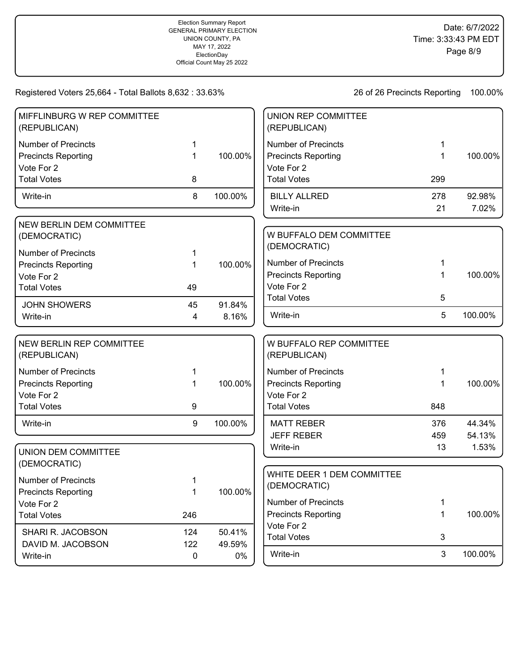| MIFFLINBURG W REP COMMITTEE<br>(REPUBLICAN)     |     |         | UNION REP COMMITTEE<br>(REPUBLICAN)     |     |         |
|-------------------------------------------------|-----|---------|-----------------------------------------|-----|---------|
| <b>Number of Precincts</b>                      | 1   |         | <b>Number of Precincts</b>              | 1   |         |
| <b>Precincts Reporting</b>                      | 1   | 100.00% | <b>Precincts Reporting</b>              | 1   | 100.00% |
| Vote For 2                                      |     |         | Vote For 2                              |     |         |
| <b>Total Votes</b>                              | 8   |         | <b>Total Votes</b>                      | 299 |         |
| Write-in                                        | 8   | 100.00% | <b>BILLY ALLRED</b>                     | 278 | 92.98%  |
|                                                 |     |         | Write-in                                | 21  | 7.02%   |
| <b>NEW BERLIN DEM COMMITTEE</b>                 |     |         |                                         |     |         |
| (DEMOCRATIC)                                    |     |         | W BUFFALO DEM COMMITTEE                 |     |         |
| <b>Number of Precincts</b>                      | 1   |         | (DEMOCRATIC)                            |     |         |
| <b>Precincts Reporting</b>                      | 1   | 100.00% | <b>Number of Precincts</b>              | 1   |         |
| Vote For 2                                      |     |         | <b>Precincts Reporting</b>              | 1   | 100.00% |
| <b>Total Votes</b>                              | 49  |         | Vote For 2                              |     |         |
| <b>JOHN SHOWERS</b>                             | 45  | 91.84%  | <b>Total Votes</b>                      | 5   |         |
| Write-in                                        | 4   | 8.16%   | Write-in                                | 5   | 100.00% |
|                                                 |     |         |                                         |     |         |
| <b>NEW BERLIN REP COMMITTEE</b><br>(REPUBLICAN) |     |         | W BUFFALO REP COMMITTEE<br>(REPUBLICAN) |     |         |
| <b>Number of Precincts</b>                      | 1   |         | <b>Number of Precincts</b>              | 1   |         |
| <b>Precincts Reporting</b>                      | 1   | 100.00% | <b>Precincts Reporting</b>              | 1   | 100.00% |
| Vote For 2                                      |     |         | Vote For 2                              |     |         |
| <b>Total Votes</b>                              | 9   |         | <b>Total Votes</b>                      | 848 |         |
| Write-in                                        | 9   | 100.00% | <b>MATT REBER</b>                       | 376 | 44.34%  |
|                                                 |     |         | <b>JEFF REBER</b>                       | 459 | 54.13%  |
| <b>UNION DEM COMMITTEE</b>                      |     |         | Write-in                                | 13  | 1.53%   |
| (DEMOCRATIC)                                    |     |         |                                         |     |         |
| <b>Number of Precincts</b>                      |     |         | WHITE DEER 1 DEM COMMITTEE              |     |         |
|                                                 | 1   | 100.00% | (DEMOCRATIC)                            |     |         |
| <b>Precincts Reporting</b><br>Vote For 2        | 1   |         | <b>Number of Precincts</b>              | 1   |         |
| <b>Total Votes</b>                              | 246 |         | <b>Precincts Reporting</b>              | 1   | 100.00% |
|                                                 |     |         | Vote For 2                              |     |         |
| SHARI R. JACOBSON                               | 124 | 50.41%  | <b>Total Votes</b>                      | 3   |         |
| DAVID M. JACOBSON                               | 122 | 49.59%  |                                         |     |         |
| Write-in                                        | 0   | 0%      | Write-in                                | 3   | 100.00% |